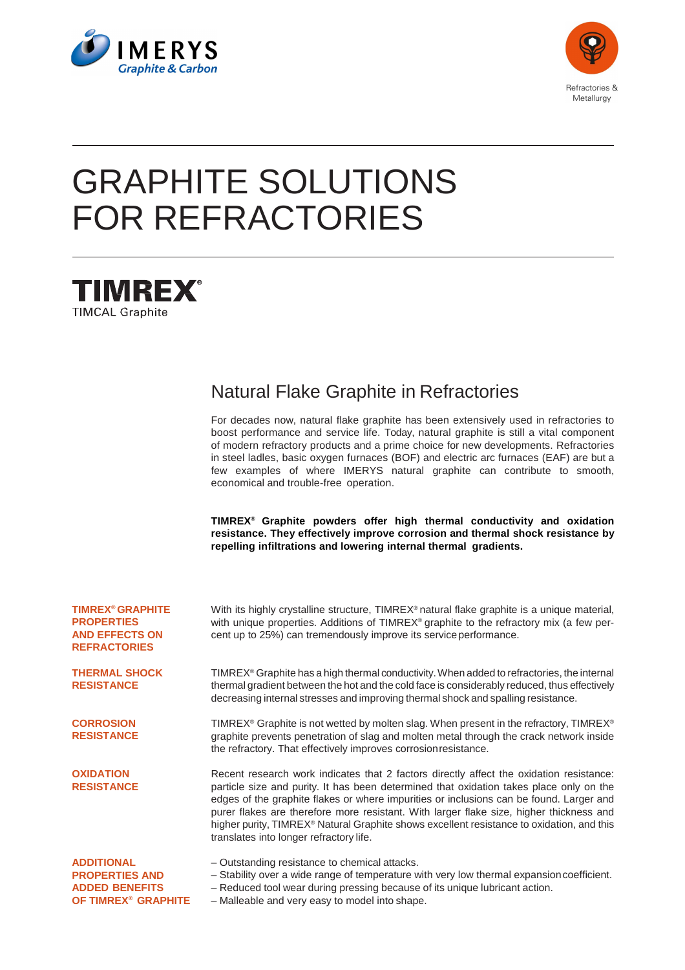



# GRAPHITE SOLUTIONS FOR REFRACTORIES



# Natural Flake Graphite in Refractories

For decades now, natural flake graphite has been extensively used in refractories to boost performance and service life. Today, natural graphite is still a vital component of modern refractory products and a prime choice for new developments. Refractories in steel ladles, basic oxygen furnaces (BOF) and electric arc furnaces (EAF) are but a few examples of where IMERYS natural graphite can contribute to smooth, economical and trouble-free operation.

**TIMREX® Graphite powders offer high thermal conductivity and oxidation resistance. They effectively improve corrosion and thermal shock resistance by repelling infiltrations and lowering internal thermal gradients.** 

| <b>TIMREX® GRAPHITE</b><br><b>PROPERTIES</b><br><b>AND EFFECTS ON</b><br><b>REFRACTORIES</b> | With its highly crystalline structure, TIMREX® natural flake graphite is a unique material,<br>with unique properties. Additions of TIMREX <sup>®</sup> graphite to the refractory mix (a few per-<br>cent up to 25%) can tremendously improve its service performance.                                                                                                                                                                                                                                                      |  |  |
|----------------------------------------------------------------------------------------------|------------------------------------------------------------------------------------------------------------------------------------------------------------------------------------------------------------------------------------------------------------------------------------------------------------------------------------------------------------------------------------------------------------------------------------------------------------------------------------------------------------------------------|--|--|
| <b>THERMAL SHOCK</b><br><b>RESISTANCE</b>                                                    | TIMREX <sup>®</sup> Graphite has a high thermal conductivity. When added to refractories, the internal<br>thermal gradient between the hot and the cold face is considerably reduced, thus effectively<br>decreasing internal stresses and improving thermal shock and spalling resistance.                                                                                                                                                                                                                                  |  |  |
| <b>CORROSION</b><br><b>RESISTANCE</b>                                                        | TIMREX <sup>®</sup> Graphite is not wetted by molten slag. When present in the refractory, TIMREX <sup>®</sup><br>graphite prevents penetration of slag and molten metal through the crack network inside<br>the refractory. That effectively improves corrosion resistance.                                                                                                                                                                                                                                                 |  |  |
| <b>OXIDATION</b><br><b>RESISTANCE</b>                                                        | Recent research work indicates that 2 factors directly affect the oxidation resistance:<br>particle size and purity. It has been determined that oxidation takes place only on the<br>edges of the graphite flakes or where impurities or inclusions can be found. Larger and<br>purer flakes are therefore more resistant. With larger flake size, higher thickness and<br>higher purity, TIMREX <sup>®</sup> Natural Graphite shows excellent resistance to oxidation, and this<br>translates into longer refractory life. |  |  |
| <b>ADDITIONAL</b><br><b>PROPERTIES AND</b>                                                   | - Outstanding resistance to chemical attacks.<br>- Stability over a wide range of temperature with very low thermal expansion coefficient.                                                                                                                                                                                                                                                                                                                                                                                   |  |  |

– Reduced tool wear during pressing because of its unique lubricant action.

- **ADDED BENEFITS OF TIMREX® GRAPHITE**
- Malleable and very easy to model into shape.